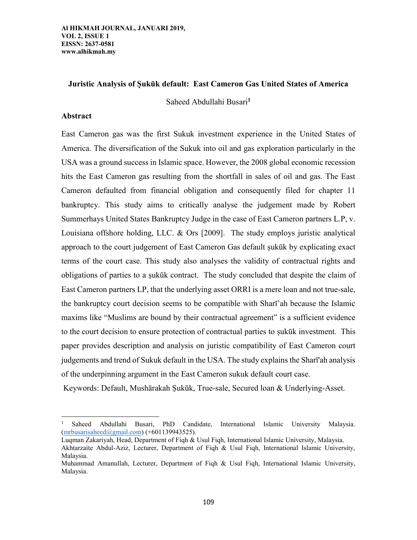## **Juristic Analysis of Ṣukūk default: East Cameron Gas United States of America**

Saheed Abdullahi Busari**<sup>1</sup>**

## **Abstract**

 $\overline{\phantom{a}}$ 

East Cameron gas was the first Sukuk investment experience in the United States of America. The diversification of the Sukuk into oil and gas exploration particularly in the USA was a ground success in Islamic space. However, the 2008 global economic recession hits the East Cameron gas resulting from the shortfall in sales of oil and gas. The East Cameron defaulted from financial obligation and consequently filed for chapter 11 bankruptcy. This study aims to critically analyse the judgement made by Robert Summerhays United States Bankruptcy Judge in the case of East Cameron partners L.P, v. Louisiana offshore holding, LLC. & Ors [2009]. The study employs juristic analytical approach to the court judgement of East Cameron Gas default ṣukūk by explicating exact terms of the court case. This study also analyses the validity of contractual rights and obligations of parties to a ṣukūk contract. The study concluded that despite the claim of East Cameron partners LP, that the underlying asset ORRI is a mere loan and not true-sale, the bankruptcy court decision seems to be compatible with Sharī'ah because the Islamic maxims like "Muslims are bound by their contractual agreement" is a sufficient evidence to the court decision to ensure protection of contractual parties to ṣukūk investment. This paper provides description and analysis on juristic compatibility of East Cameron court judgements and trend of Sukuk default in the USA. The study explains the Sharī'ah analysis of the underpinning argument in the East Cameron sukuk default court case.

Keywords: Default, Mushārakah Ṣukūk, True-sale, Secured loan & Underlying-Asset.

<sup>1</sup> Saheed Abdullahi Busari, PhD Candidate, International Islamic University Malaysia. [\(mrbusarisaheed@gmail.com\)](mailto:mrbusarisaheed@gmail.com) (+601139943525).

Luqman Zakariyah, Head, Department of Fiqh & Usul Fiqh, International Islamic University, Malaysia. Akhtarzaite Abdul-Aziz, Lecturer, Department of Fiqh & Usul Fiqh, International Islamic University, Malaysia.

Muhammad Amanullah, Lecturer, Department of Fiqh & Usul Fiqh, International Islamic University, Malaysia.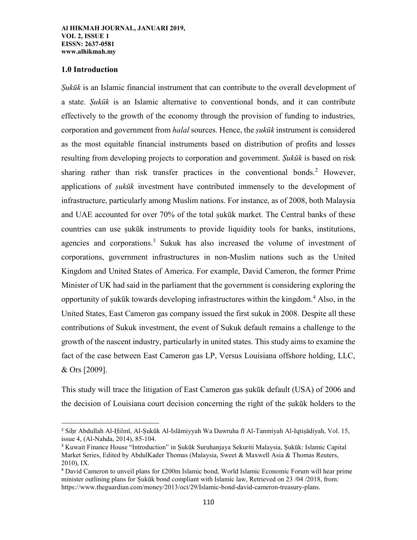## **1.0 Introduction**

l

*Ṣukūk* is an Islamic financial instrument that can contribute to the overall development of a state. *Ṣukūk* is an Islamic alternative to conventional bonds, and it can contribute effectively to the growth of the economy through the provision of funding to industries, corporation and government from *halal* sources. Hence, the *ṣukūk* instrument is considered as the most equitable financial instruments based on distribution of profits and losses resulting from developing projects to corporation and government. *Ṣukūk* is based on risk sharing rather than risk transfer practices in the conventional bonds.<sup>2</sup> However, applications of *ṣukūk* investment have contributed immensely to the development of infrastructure, particularly among Muslim nations. For instance, as of 2008, both Malaysia and UAE accounted for over 70% of the total ṣukūk market. The Central banks of these countries can use ṣukūk instruments to provide liquidity tools for banks, institutions, agencies and corporations.<sup>3</sup> Sukuk has also increased the volume of investment of corporations, government infrastructures in non-Muslim nations such as the United Kingdom and United States of America. For example, David Cameron, the former Prime Minister of UK had said in the parliament that the government is considering exploring the opportunity of ṣukūk towards developing infrastructures within the kingdom.<sup>4</sup> Also, in the United States, East Cameron gas company issued the first sukuk in 2008. Despite all these contributions of Sukuk investment, the event of Sukuk default remains a challenge to the growth of the nascent industry, particularly in united states. This study aims to examine the fact of the case between East Cameron gas LP, Versus Louisiana offshore holding, LLC, & Ors [2009].

This study will trace the litigation of East Cameron gas ṣukūk default (USA) of 2006 and the decision of Louisiana court decision concerning the right of the ṣukūk holders to the

<sup>2</sup> Siḥr Abdullah Al-Ḥilmī, Al-Ṣukūk Al-Islāmiyyah Wa Dawruha fī Al-Tanmiyah Al-Iqtiṣādiyah, Vol. 15, issue 4, (Al-Nahda, 2014), 85-104.

<sup>&</sup>lt;sup>3</sup> Kuwait Finance House "Introduction" in Sukūk Suruhanjaya Sekuriti Malaysia, Sukūk: Islamic Capital Market Series, Edited by AbdulKader Thomas (Malaysia, Sweet & Maxwell Asia & Thomas Reuters, 2010), IX.

<sup>4</sup> David Cameron to unveil plans for £200m Islamic bond, World Islamic Economic Forum will hear prime minister outlining plans for Sukūk bond compliant with Islamic law, Retrieved on 23/04/2018, from: https://www.theguardian.com/money/2013/oct/29/Islamic-bond-david-cameron-treasury-plans.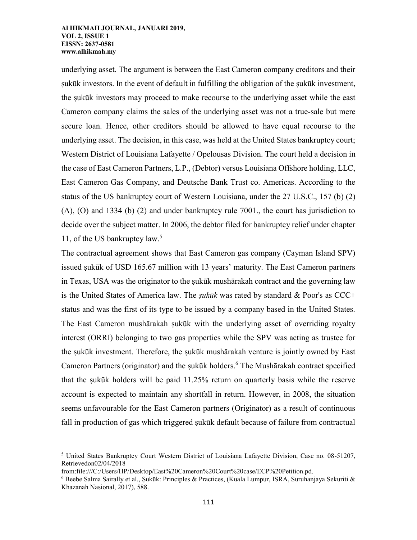underlying asset. The argument is between the East Cameron company creditors and their ṣukūk investors. In the event of default in fulfilling the obligation of the ṣukūk investment, the ṣukūk investors may proceed to make recourse to the underlying asset while the east Cameron company claims the sales of the underlying asset was not a true-sale but mere secure loan. Hence, other creditors should be allowed to have equal recourse to the underlying asset. The decision, in this case, was held at the United States bankruptcy court; Western District of Louisiana Lafayette / Opelousas Division. The court held a decision in the case of East Cameron Partners, L.P., (Debtor) versus Louisiana Offshore holding, LLC, East Cameron Gas Company, and Deutsche Bank Trust co. Americas. According to the status of the US bankruptcy court of Western Louisiana, under the 27 U.S.C., 157 (b) (2) (A), (O) and 1334 (b) (2) and under bankruptcy rule 7001., the court has jurisdiction to decide over the subject matter. In 2006, the debtor filed for bankruptcy relief under chapter 11, of the US bankruptcy law.<sup>5</sup>

The contractual agreement shows that East Cameron gas company (Cayman Island SPV) issued sukūk of USD 165.67 million with 13 years' maturity. The East Cameron partners in Texas, USA was the originator to the ṣukūk mushārakah contract and the governing law is the United States of America law. The *ṣukūk* was rated by standard & Poor's as CCC+ status and was the first of its type to be issued by a company based in the United States. The East Cameron mushārakah sukūk with the underlying asset of overriding royalty interest (ORRI) belonging to two gas properties while the SPV was acting as trustee for the ṣukūk investment. Therefore, the ṣukūk mushārakah venture is jointly owned by East Cameron Partners (originator) and the ṣukūk holders.<sup>6</sup> The Mushārakah contract specified that the sukūk holders will be paid  $11.25\%$  return on quarterly basis while the reserve account is expected to maintain any shortfall in return. However, in 2008, the situation seems unfavourable for the East Cameron partners (Originator) as a result of continuous fall in production of gas which triggered sukūk default because of failure from contractual

 $\overline{a}$ <sup>5</sup> United States Bankruptcy Court Western District of Louisiana Lafayette Division, Case no. 08-51207, Retrievedon02/04/2018

from:file:///C:/Users/HP/Desktop/East%20Cameron%20Court%20case/ECP%20Petition.pd.

 $^6$  Beebe Salma Sairally et al., Sukūk: Principles & Practices, (Kuala Lumpur, ISRA, Suruhanjaya Sekuriti & Khazanah Nasional, 2017), 588.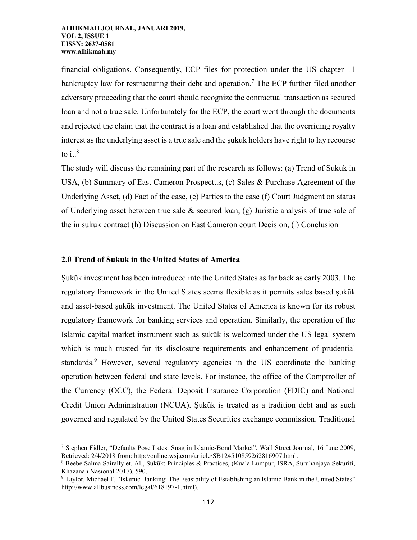financial obligations. Consequently, ECP files for protection under the US chapter 11 bankruptcy law for restructuring their debt and operation.<sup>7</sup> The ECP further filed another adversary proceeding that the court should recognize the contractual transaction as secured loan and not a true sale. Unfortunately for the ECP, the court went through the documents and rejected the claim that the contract is a loan and established that the overriding royalty interest as the underlying asset is a true sale and the sukūk holders have right to lay recourse to it. $8$ 

The study will discuss the remaining part of the research as follows: (a) Trend of Sukuk in USA, (b) Summary of East Cameron Prospectus, (c) Sales & Purchase Agreement of the Underlying Asset, (d) Fact of the case, (e) Parties to the case (f) Court Judgment on status of Underlying asset between true sale  $\&$  secured loan, (g) Juristic analysis of true sale of the in sukuk contract (h) Discussion on East Cameron court Decision, (i) Conclusion

## **2.0 Trend of Sukuk in the United States of America**

l

Ṣukūk investment has been introduced into the United States as far back as early 2003. The regulatory framework in the United States seems flexible as it permits sales based ṣukūk and asset-based sukūk investment. The United States of America is known for its robust regulatory framework for banking services and operation. Similarly, the operation of the Islamic capital market instrument such as sukūk is welcomed under the US legal system which is much trusted for its disclosure requirements and enhancement of prudential standards.<sup>9</sup> However, several regulatory agencies in the US coordinate the banking operation between federal and state levels. For instance, the office of the Comptroller of the Currency (OCC), the Federal Deposit Insurance Corporation (FDIC) and National Credit Union Administration (NCUA). Ṣukūk is treated as a tradition debt and as such governed and regulated by the United States Securities exchange commission. Traditional

<sup>7</sup> Stephen Fidler, "Defaults Pose Latest Snag in Islamic-Bond Market", Wall Street Journal, 16 June 2009, Retrieved: 2/4/2018 from: http://online.wsj.com/article/SB124510859262816907.html.

<sup>8</sup> Beebe Salma Sairally et. Al., Ṣukūk: Principles & Practices, (Kuala Lumpur, ISRA, Suruhanjaya Sekuriti, Khazanah Nasional 2017), 590.

<sup>9</sup> Taylor, Michael F, "Islamic Banking: The Feasibility of Establishing an Islamic Bank in the United States" http://www.allbusiness.com/legal/618197-1.html).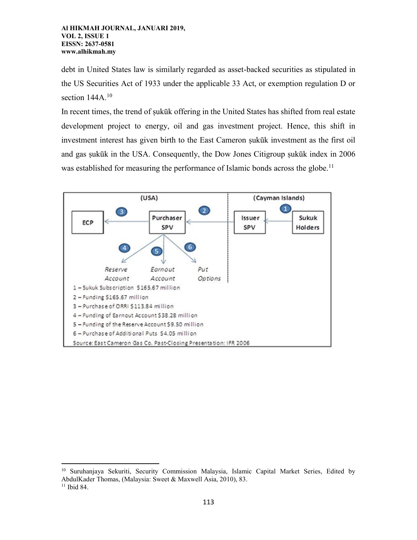debt in United States law is similarly regarded as asset-backed securities as stipulated in the US Securities Act of 1933 under the applicable 33 Act, or exemption regulation D or section  $144A$ <sup>10</sup>

In recent times, the trend of sukūk offering in the United States has shifted from real estate development project to energy, oil and gas investment project. Hence, this shift in investment interest has given birth to the East Cameron ṣukūk investment as the first oil and gas ṣukūk in the USA. Consequently, the Dow Jones Citigroup ṣukūk index in 2006 was established for measuring the performance of Islamic bonds across the globe.<sup>11</sup>



 $\overline{\phantom{a}}$ <sup>10</sup> Suruhanjaya Sekuriti, Security Commission Malaysia, Islamic Capital Market Series, Edited by AbdulKader Thomas, (Malaysia: Sweet & Maxwell Asia, 2010), 83.  $11$  Ibid 84.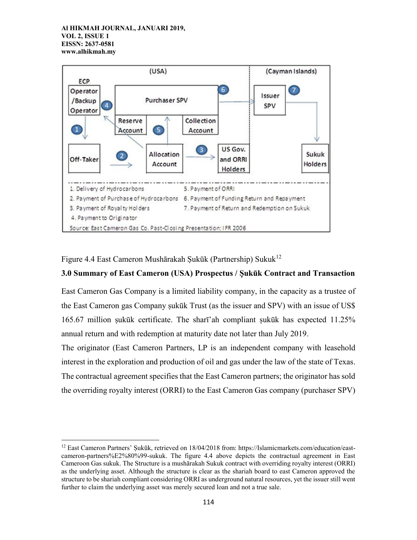l



Figure 4.4 East Cameron Mushārakah Sukūk (Partnership) Sukuk<sup>12</sup>

# **3.0 Summary of East Cameron (USA) Prospectus / Ṣukūk Contract and Transaction**

East Cameron Gas Company is a limited liability company, in the capacity as a trustee of the East Cameron gas Company ṣukūk Trust (as the issuer and SPV) with an issue of US\$ 165.67 million sukūk certificate. The sharī'ah compliant sukūk has expected  $11.25\%$ annual return and with redemption at maturity date not later than July 2019.

The originator (East Cameron Partners, LP is an independent company with leasehold interest in the exploration and production of oil and gas under the law of the state of Texas. The contractual agreement specifies that the East Cameron partners; the originator has sold the overriding royalty interest (ORRI) to the East Cameron Gas company (purchaser SPV)

<sup>&</sup>lt;sup>12</sup> East Cameron Partners' Sukūk, retrieved on 18/04/2018 from: [https://Islamicmarkets.com/education/east](https://islamicmarkets.com/education/east-cameron-partners%E2%80%99-sukuk)[cameron-partners%E2%80%99-sukuk.](https://islamicmarkets.com/education/east-cameron-partners%E2%80%99-sukuk) The figure 4.4 above depicts the contractual agreement in East Cameroon Gas sukuk. The Structure is a mushārakah Sukuk contract with overriding royalty interest (ORRI) as the underlying asset. Although the structure is clear as the shariah board to east Cameron approved the structure to be shariah compliant considering ORRI as underground natural resources, yet the issuer still went further to claim the underlying asset was merely secured loan and not a true sale.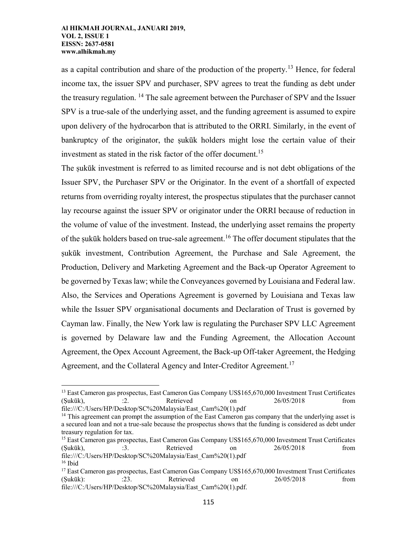$\overline{\phantom{a}}$ 

as a capital contribution and share of the production of the property.<sup>13</sup> Hence, for federal income tax, the issuer SPV and purchaser, SPV agrees to treat the funding as debt under the treasury regulation. <sup>14</sup> The sale agreement between the Purchaser of SPV and the Issuer SPV is a true-sale of the underlying asset, and the funding agreement is assumed to expire upon delivery of the hydrocarbon that is attributed to the ORRI. Similarly, in the event of bankruptcy of the originator, the sukūk holders might lose the certain value of their investment as stated in the risk factor of the offer document.<sup>15</sup>

The ṣukūk investment is referred to as limited recourse and is not debt obligations of the Issuer SPV, the Purchaser SPV or the Originator. In the event of a shortfall of expected returns from overriding royalty interest, the prospectus stipulates that the purchaser cannot lay recourse against the issuer SPV or originator under the ORRI because of reduction in the volume of value of the investment. Instead, the underlying asset remains the property of the sukūk holders based on true-sale agreement.<sup>16</sup> The offer document stipulates that the ṣukūk investment, Contribution Agreement, the Purchase and Sale Agreement, the Production, Delivery and Marketing Agreement and the Back-up Operator Agreement to be governed by Texas law; while the Conveyances governed by Louisiana and Federal law. Also, the Services and Operations Agreement is governed by Louisiana and Texas law while the Issuer SPV organisational documents and Declaration of Trust is governed by Cayman law. Finally, the New York law is regulating the Purchaser SPV LLC Agreement is governed by Delaware law and the Funding Agreement, the Allocation Account Agreement, the Opex Account Agreement, the Back-up Off-taker Agreement, the Hedging Agreement, and the Collateral Agency and Inter-Creditor Agreement.<sup>17</sup>

<sup>&</sup>lt;sup>13</sup> East Cameron gas prospectus, East Cameron Gas Company US\$165,670,000 Investment Trust Certificates (Ṣukūk), :2. Retrieved on 26/05/2018 from file:///C:/Users/HP/Desktop/SC%20Malaysia/East\_Cam%20(1).pdf

<sup>&</sup>lt;sup>14</sup> This agreement can prompt the assumption of the East Cameron gas company that the underlying asset is a secured loan and not a true-sale because the prospectus shows that the funding is considered as debt under treasury regulation for tax.

<sup>&</sup>lt;sup>15</sup> East Cameron gas prospectus, East Cameron Gas Company US\$165,670,000 Investment Trust Certificates (Ṣukūk), :3. Retrieved on 26/05/2018 from file:///C:/Users/HP/Desktop/SC%20Malaysia/East\_Cam%20(1).pdf

 $16$  Ibid <sup>17</sup> East Cameron gas prospectus, East Cameron Gas Company US\$165,670,000 Investment Trust Certificates (Ṣukūk): :23. Retrieved on 26/05/2018 from file:///C:/Users/HP/Desktop/SC%20Malaysia/East\_Cam%20(1).pdf.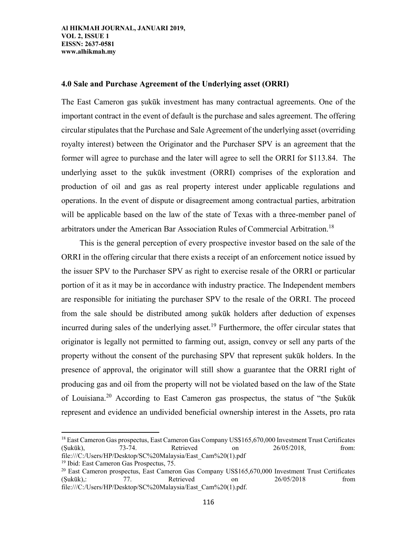## **4.0 Sale and Purchase Agreement of the Underlying asset (ORRI)**

The East Cameron gas sukūk investment has many contractual agreements. One of the important contract in the event of default is the purchase and sales agreement. The offering circular stipulates that the Purchase and Sale Agreement of the underlying asset (overriding royalty interest) between the Originator and the Purchaser SPV is an agreement that the former will agree to purchase and the later will agree to sell the ORRI for \$113.84. The underlying asset to the ṣukūk investment (ORRI) comprises of the exploration and production of oil and gas as real property interest under applicable regulations and operations. In the event of dispute or disagreement among contractual parties, arbitration will be applicable based on the law of the state of Texas with a three-member panel of arbitrators under the American Bar Association Rules of Commercial Arbitration.<sup>18</sup>

This is the general perception of every prospective investor based on the sale of the ORRI in the offering circular that there exists a receipt of an enforcement notice issued by the issuer SPV to the Purchaser SPV as right to exercise resale of the ORRI or particular portion of it as it may be in accordance with industry practice. The Independent members are responsible for initiating the purchaser SPV to the resale of the ORRI. The proceed from the sale should be distributed among ṣukūk holders after deduction of expenses incurred during sales of the underlying asset.<sup>19</sup> Furthermore, the offer circular states that originator is legally not permitted to farming out, assign, convey or sell any parts of the property without the consent of the purchasing SPV that represent ṣukūk holders. In the presence of approval, the originator will still show a guarantee that the ORRI right of producing gas and oil from the property will not be violated based on the law of the State of Louisiana.<sup>20</sup> According to East Cameron gas prospectus, the status of "the Sukūk" represent and evidence an undivided beneficial ownership interest in the Assets, pro rata

<sup>&</sup>lt;sup>18</sup> East Cameron Gas prospectus, East Cameron Gas Company US\$165,670,000 Investment Trust Certificates (Ṣukūk), 73-74. Retrieved on 26/05/2018, from: file:///C:/Users/HP/Desktop/SC%20Malaysia/East\_Cam%20(1).pdf

<sup>19</sup> Ibid: East Cameron Gas Prospectus, 75.

 $20$  East Cameron prospectus, East Cameron Gas Company US\$165,670,000 Investment Trust Certificates (Ṣukūk),: 77. Retrieved on 26/05/2018 from file:///C:/Users/HP/Desktop/SC%20Malaysia/East\_Cam%20(1).pdf.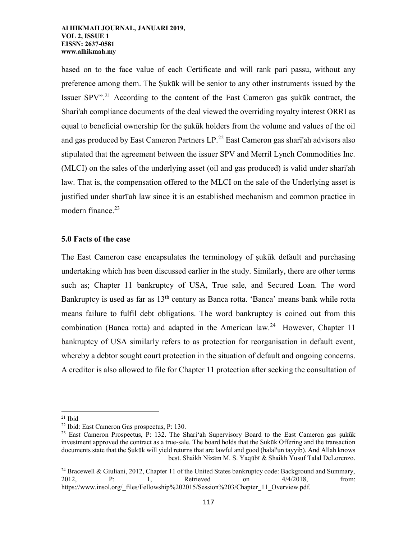based on to the face value of each Certificate and will rank pari passu, without any preference among them. The Ṣukūk will be senior to any other instruments issued by the Issuer SPV".<sup>21</sup> According to the content of the East Cameron gas ṣukūk contract, the Shari'ah compliance documents of the deal viewed the overriding royalty interest ORRI as equal to beneficial ownership for the sukūk holders from the volume and values of the oil and gas produced by East Cameron Partners LP.<sup>22</sup> East Cameron gas sharī'ah advisors also stipulated that the agreement between the issuer SPV and Merril Lynch Commodities Inc. (MLCI) on the sales of the underlying asset (oil and gas produced) is valid under sharī'ah law. That is, the compensation offered to the MLCI on the sale of the Underlying asset is justified under sharī'ah law since it is an established mechanism and common practice in modern finance. $23$ 

## **5.0 Facts of the case**

The East Cameron case encapsulates the terminology of ṣukūk default and purchasing undertaking which has been discussed earlier in the study. Similarly, there are other terms such as; Chapter 11 bankruptcy of USA, True sale, and Secured Loan. The word Bankruptcy is used as far as 13<sup>th</sup> century as Banca rotta. 'Banca' means bank while rotta means failure to fulfil debt obligations. The word bankruptcy is coined out from this combination (Banca rotta) and adapted in the American  $law.<sup>24</sup>$  However, Chapter 11 bankruptcy of USA similarly refers to as protection for reorganisation in default event, whereby a debtor sought court protection in the situation of default and ongoing concerns. A creditor is also allowed to file for Chapter 11 protection after seeking the consultation of

 $\overline{a}$ 

 $21$  Ibid

<sup>22</sup> Ibid: East Cameron Gas prospectus, P: 130.

<sup>&</sup>lt;sup>23</sup> East Cameron Prospectus, P: 132. The Shari'ah Supervisory Board to the East Cameron gas sukūk investment approved the contract as a true-sale. The board holds that the Ṣukūk Offering and the transaction documents state that the Ṣukūk will yield returns that are lawful and good (halal'un tayyib). And Allah knows best. Shaikh Nizām M. S. Yaqūbī & Shaikh Yusuf Talal DeLorenzo.

<sup>&</sup>lt;sup>24</sup> Bracewell & Giuliani, 2012, Chapter 11 of the United States bankruptcy code: Background and Summary, 2012, **P:** 1, Retrieved on  $4/4/2018$ , from: https://www.insol.org/\_files/Fellowship%202015/Session%203/Chapter\_11\_Overview.pdf.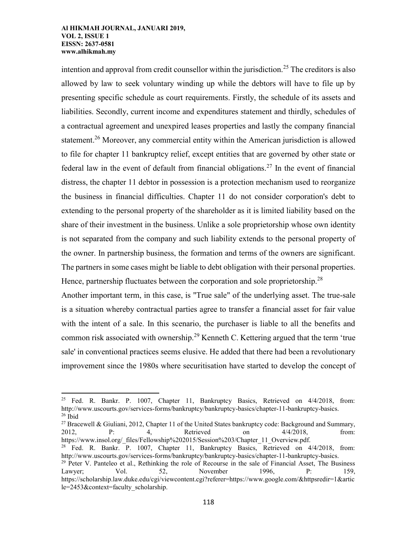l

intention and approval from credit counsellor within the jurisdiction.<sup>25</sup> The creditors is also allowed by law to seek voluntary winding up while the debtors will have to file up by presenting specific schedule as court requirements. Firstly, the schedule of its assets and liabilities. Secondly, current income and expenditures statement and thirdly, schedules of a contractual agreement and unexpired leases properties and lastly the company financial statement.<sup>26</sup> Moreover, any commercial entity within the American jurisdiction is allowed to file for chapter 11 bankruptcy relief, except entities that are governed by other state or federal law in the event of default from financial obligations.<sup>27</sup> In the event of financial distress, the chapter 11 debtor in possession is a protection mechanism used to reorganize the business in financial difficulties. Chapter 11 do not consider corporation's debt to extending to the personal property of the shareholder as it is limited liability based on the share of their investment in the business. Unlike a sole proprietorship whose own identity is not separated from the company and such liability extends to the personal property of the owner. In partnership business, the formation and terms of the owners are significant. The partners in some cases might be liable to debt obligation with their personal properties. Hence, partnership fluctuates between the corporation and sole proprietorship.<sup>28</sup>

Another important term, in this case, is "True sale" of the underlying asset. The true-sale is a situation whereby contractual parties agree to transfer a financial asset for fair value with the intent of a sale. In this scenario, the purchaser is liable to all the benefits and common risk associated with ownership.<sup>29</sup> Kenneth C. Kettering argued that the term 'true sale' in conventional practices seems elusive. He added that there had been a revolutionary improvement since the 1980s where securitisation have started to develop the concept of

<sup>27</sup> Bracewell & Giuliani, 2012, Chapter 11 of the United States bankruptcy code: Background and Summary, 2012, P: 4, Retrieved on 4/4/2018, from: https://www.insol.org/\_files/Fellowship%202015/Session%203/Chapter\_11\_Overview.pdf.

<sup>28</sup> Fed. R. Bankr. P. 1007, Chapter 11, Bankruptcy Basics, Retrieved on 4/4/2018, from: http://www.uscourts.gov/services-forms/bankruptcy/bankruptcy-basics/chapter-11-bankruptcy-basics.

<sup>&</sup>lt;sup>25</sup> Fed. R. Bankr. P. 1007, Chapter 11, Bankruptcy Basics, Retrieved on  $4/4/2018$ , from: http://www.uscourts.gov/services-forms/bankruptcy/bankruptcy-basics/chapter-11-bankruptcy-basics.  $26$  Ibid

<sup>&</sup>lt;sup>29</sup> Peter V. Panteleo et al., Rethinking the role of Recourse in the sale of Financial Asset, The Business Lawyer; Vol. 52, November 1996, P: 159, https://scholarship.law.duke.edu/cgi/viewcontent.cgi?referer=https://www.google.com/&httpsredir=1&artic le=2453&context=faculty\_scholarship.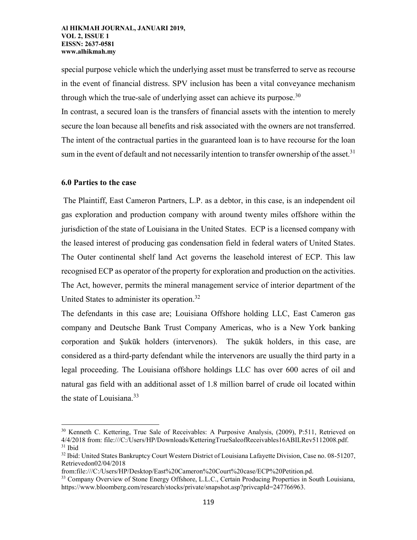special purpose vehicle which the underlying asset must be transferred to serve as recourse in the event of financial distress. SPV inclusion has been a vital conveyance mechanism through which the true-sale of underlying asset can achieve its purpose. $30$ 

In contrast, a secured loan is the transfers of financial assets with the intention to merely secure the loan because all benefits and risk associated with the owners are not transferred. The intent of the contractual parties in the guaranteed loan is to have recourse for the loan sum in the event of default and not necessarily intention to transfer ownership of the asset.<sup>31</sup>

## **6.0 Parties to the case**

 $\overline{a}$ 

The Plaintiff, East Cameron Partners, L.P. as a debtor, in this case, is an independent oil gas exploration and production company with around twenty miles offshore within the jurisdiction of the state of Louisiana in the United States. ECP is a licensed company with the leased interest of producing gas condensation field in federal waters of United States. The Outer continental shelf land Act governs the leasehold interest of ECP. This law recognised ECP as operator of the property for exploration and production on the activities. The Act, however, permits the mineral management service of interior department of the United States to administer its operation.<sup>32</sup>

The defendants in this case are; Louisiana Offshore holding LLC, East Cameron gas company and Deutsche Bank Trust Company Americas, who is a New York banking corporation and Ṣukūk holders (intervenors). The ṣukūk holders, in this case, are considered as a third-party defendant while the intervenors are usually the third party in a legal proceeding. The Louisiana offshore holdings LLC has over 600 acres of oil and natural gas field with an additional asset of 1.8 million barrel of crude oil located within the state of Louisiana. $33$ 

<sup>30</sup> Kenneth C. Kettering, True Sale of Receivables: A Purposive Analysis, (2009), P:511, Retrieved on 4/4/2018 from: file:///C:/Users/HP/Downloads/KetteringTrueSaleofReceivables16ABILRev5112008.pdf. <sup>31</sup> Ibid

<sup>32</sup> Ibid: United States Bankruptcy Court Western District of Louisiana Lafayette Division, Case no. 08-51207, Retrievedon02/04/2018

from:file:///C:/Users/HP/Desktop/East%20Cameron%20Court%20case/ECP%20Petition.pd.

<sup>&</sup>lt;sup>33</sup> Company Overview of Stone Energy Offshore, L.L.C., Certain Producing Properties in South Louisiana, https://www.bloomberg.com/research/stocks/private/snapshot.asp?privcapId=247766963.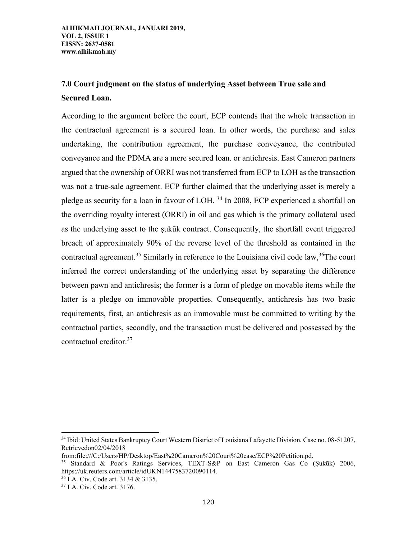# **7.0 Court judgment on the status of underlying Asset between True sale and Secured Loan.**

According to the argument before the court, ECP contends that the whole transaction in the contractual agreement is a secured loan. In other words, the purchase and sales undertaking, the contribution agreement, the purchase conveyance, the contributed conveyance and the PDMA are a mere secured loan. or antichresis. East Cameron partners argued that the ownership of ORRI was not transferred from ECP to LOH as the transaction was not a true-sale agreement. ECP further claimed that the underlying asset is merely a pledge as security for a loan in favour of LOH. <sup>34</sup> In 2008, ECP experienced a shortfall on the overriding royalty interest (ORRI) in oil and gas which is the primary collateral used as the underlying asset to the ṣukūk contract. Consequently, the shortfall event triggered breach of approximately 90% of the reverse level of the threshold as contained in the contractual agreement.<sup>35</sup> Similarly in reference to the Louisiana civil code law,<sup>36</sup>The court inferred the correct understanding of the underlying asset by separating the difference between pawn and antichresis; the former is a form of pledge on movable items while the latter is a pledge on immovable properties. Consequently, antichresis has two basic requirements, first, an antichresis as an immovable must be committed to writing by the contractual parties, secondly, and the transaction must be delivered and possessed by the contractual creditor.<sup>37</sup>

<sup>34</sup> Ibid: United States Bankruptcy Court Western District of Louisiana Lafayette Division, Case no. 08-51207, Retrievedon02/04/2018

from:file:///C:/Users/HP/Desktop/East%20Cameron%20Court%20case/ECP%20Petition.pd.

<sup>35</sup> Standard & Poor's Ratings Services, TEXT-S&P on East Cameron Gas Co (Ṣukūk) 2006, https://uk.reuters.com/article/idUKN1447583720090114.

<sup>36</sup> LA. Civ. Code art. 3134 & 3135.

<sup>37</sup> LA. Civ. Code art. 3176.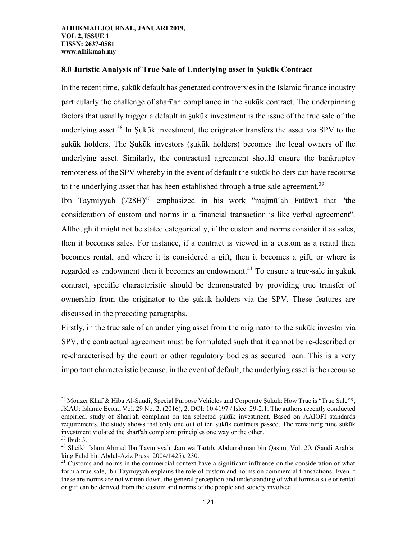# **8.0 Juristic Analysis of True Sale of Underlying asset in Ṣukūk Contract**

In the recent time, ṣukūk default has generated controversies in the Islamic finance industry particularly the challenge of shart'ah compliance in the sukūk contract. The underpinning factors that usually trigger a default in ṣukūk investment is the issue of the true sale of the underlying asset.<sup>38</sup> In Sukūk investment, the originator transfers the asset via SPV to the sukūk holders. The Sukūk investors (sukūk holders) becomes the legal owners of the underlying asset. Similarly, the contractual agreement should ensure the bankruptcy remoteness of the SPV whereby in the event of default the ṣukūk holders can have recourse to the underlying asset that has been established through a true sale agreement.<sup>39</sup>

Ibn Taymiyyah (728H)<sup>40</sup> emphasized in his work "majmūʻah Fatāwā that "the consideration of custom and norms in a financial transaction is like verbal agreement". Although it might not be stated categorically, if the custom and norms consider it as sales, then it becomes sales. For instance, if a contract is viewed in a custom as a rental then becomes rental, and where it is considered a gift, then it becomes a gift, or where is regarded as endowment then it becomes an endowment.<sup>41</sup> To ensure a true-sale in sukūk contract, specific characteristic should be demonstrated by providing true transfer of ownership from the originator to the ṣukūk holders via the SPV. These features are discussed in the preceding paragraphs.

Firstly, in the true sale of an underlying asset from the originator to the sukūk investor via SPV, the contractual agreement must be formulated such that it cannot be re-described or re-characterised by the court or other regulatory bodies as secured loan. This is a very important characteristic because, in the event of default, the underlying asset is the recourse

l

<sup>&</sup>lt;sup>38</sup> Monzer Khaf & Hiba Al-Saudi, Special Purpose Vehicles and Corporate Şukūk: How True is "True Sale"?, JKAU: Islamic Econ., Vol. 29 No. 2, (2016), 2. DOI: 10.4197 / Islec. 29-2.1. The authors recently conducted empirical study of Shari'ah compliant on ten selected ṣukūk investment. Based on AAIOFI standards requirements, the study shows that only one out of ten ṣukūk contracts passed. The remaining nine ṣukūk investment violated the sharī'ah complaint principles one way or the other.

<sup>39</sup> Ibid: 3.

<sup>40</sup> Sheikh Islam Ahmad Ibn Taymiyyah, Jam wa Tartīb, Abdurrahmān bin Qāsim, Vol. 20, (Saudi Arabia: king Fahd bin Abdul-Aziz Press: 2004/1425), 230.

<sup>&</sup>lt;sup>41</sup> Customs and norms in the commercial context have a significant influence on the consideration of what form a true-sale, ibn Taymiyyah explains the role of custom and norms on commercial transactions. Even if these are norms are not written down, the general perception and understanding of what forms a sale or rental or gift can be derived from the custom and norms of the people and society involved.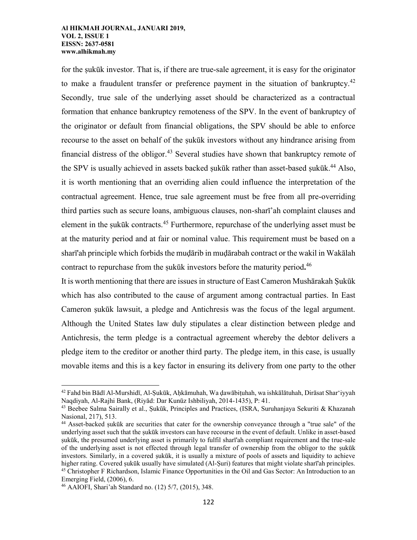for the sukūk investor. That is, if there are true-sale agreement, it is easy for the originator to make a fraudulent transfer or preference payment in the situation of bankruptcy.<sup>42</sup> Secondly, true sale of the underlying asset should be characterized as a contractual formation that enhance bankruptcy remoteness of the SPV. In the event of bankruptcy of the originator or default from financial obligations, the SPV should be able to enforce recourse to the asset on behalf of the sukūk investors without any hindrance arising from financial distress of the obligor.<sup>43</sup> Several studies have shown that bankruptcy remote of the SPV is usually achieved in assets backed sukūk rather than asset-based sukūk.<sup>44</sup> Also, it is worth mentioning that an overriding alien could influence the interpretation of the contractual agreement. Hence, true sale agreement must be free from all pre-overriding third parties such as secure loans, ambiguous clauses, non-sharī'ah complaint clauses and element in the ṣukūk contracts.<sup>45</sup> Furthermore, repurchase of the underlying asset must be at the maturity period and at fair or nominal value. This requirement must be based on a sharī'ah principle which forbids the muḍārib in muḍārabah contract or the wakil in Wakālah contract to repurchase from the ṣukūk investors before the maturity period**.** 46

It is worth mentioning that there are issues in structure of East Cameron Mushārakah Ṣukūk which has also contributed to the cause of argument among contractual parties. In East Cameron sukūk lawsuit, a pledge and Antichresis was the focus of the legal argument. Although the United States law duly stipulates a clear distinction between pledge and Antichresis, the term pledge is a contractual agreement whereby the debtor delivers a pledge item to the creditor or another third party. The pledge item, in this case, is usually movable items and this is a key factor in ensuring its delivery from one party to the other

<sup>&</sup>lt;sup>42</sup> Fahd bin Bādī Al-Murshidī, Al-Sukūk, Ahkāmuhah, Wa dawābituhah, wa ishkālātuhah, Dirāsat Shar'iyyah Naqdiyah, Al-Rajhi Bank, (Riyād: Dar Kunūz Ishbiliyah, 2014-1435), P: 41.

 $43$  Beebee Salma Sairally et al., Sukūk, Principles and Practices, (ISRA, Suruhanjaya Sekuriti & Khazanah Nasional, 217), 513.

<sup>&</sup>lt;sup>44</sup> Asset-backed sukūk are securities that cater for the ownership conveyance through a "true sale" of the underlying asset such that the ṣukūk investors can have recourse in the event of default. Unlike in asset-based sukūk, the presumed underlying asset is primarily to fulfil sharī'ah compliant requirement and the true-sale of the underlying asset is not effected through legal transfer of ownership from the obligor to the ṣukūk investors. Similarly, in a covered sukūk, it is usually a mixture of pools of assets and liquidity to achieve higher rating. Covered sukūk usually have simulated (Al-Suri) features that might violate sharī'ah principles. <sup>45</sup> Christopher F Richardson, Islamic Finance Opportunities in the Oil and Gas Sector: An Introduction to an Emerging Field, (2006), 6.

<sup>46</sup> AAIOFI, Shari'ah Standard no. (12) 5/7, (2015), 348.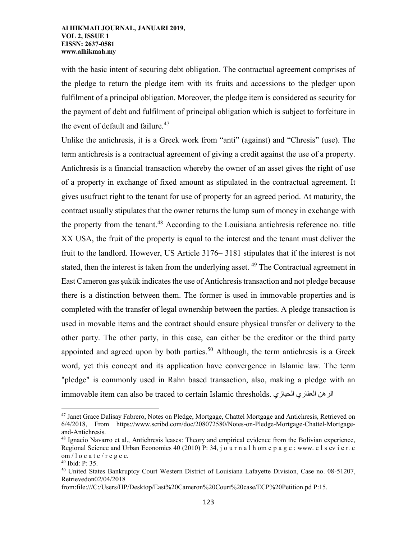with the basic intent of securing debt obligation. The contractual agreement comprises of the pledge to return the pledge item with its fruits and accessions to the pledger upon fulfilment of a principal obligation. Moreover, the pledge item is considered as security for the payment of debt and fulfilment of principal obligation which is subject to forfeiture in the event of default and failure. $47$ 

Unlike the antichresis, it is a Greek work from "anti" (against) and "Chresis" (use). The term antichresis is a contractual agreement of giving a credit against the use of a property. Antichresis is a financial transaction whereby the owner of an asset gives the right of use of a property in exchange of fixed amount as stipulated in the contractual agreement. It gives usufruct right to the tenant for use of property for an agreed period. At maturity, the contract usually stipulates that the owner returns the lump sum of money in exchange with the property from the tenant.<sup>48</sup> According to the Louisiana antichresis reference no. title XX USA, the fruit of the property is equal to the interest and the tenant must deliver the fruit to the landlord. However, US Article 3176– 3181 stipulates that if the interest is not stated, then the interest is taken from the underlying asset.<sup>49</sup> The Contractual agreement in East Cameron gas ṣukūk indicates the use of Antichresis transaction and not pledge because there is a distinction between them. The former is used in immovable properties and is completed with the transfer of legal ownership between the parties. A pledge transaction is used in movable items and the contract should ensure physical transfer or delivery to the other party. The other party, in this case, can either be the creditor or the third party appointed and agreed upon by both parties.<sup>50</sup> Although, the term antichresis is a Greek word, yet this concept and its application have convergence in Islamic law. The term "pledge" is commonly used in Rahn based transaction, also, making a pledge with an immovable item can also be traced to certain Islamic thresholds. الرهن العقاري الحيازي

<sup>&</sup>lt;sup>47</sup> Janet Grace Dalisay Fabrero, Notes on Pledge, Mortgage, Chattel Mortgage and Antichresis, Retrieved on 6/4/2018, From https://www.scribd.com/doc/208072580/Notes-on-Pledge-Mortgage-Chattel-Mortgageand-Antichresis.

<sup>48</sup> Ignacio Navarro et al., Antichresis leases: Theory and empirical evidence from the Bolivian experience, Regional Science and Urban Economics 40 (2010) P: 34, j o u r n a l h om e p a g e : www. e l s ev i e r. c om  $/$  l o c a t e  $/r$  e g e c.

<sup>49</sup> Ibid: P: 35.

<sup>50</sup> United States Bankruptcy Court Western District of Louisiana Lafayette Division, Case no. 08-51207, Retrievedon02/04/2018

from:file:///C:/Users/HP/Desktop/East%20Cameron%20Court%20case/ECP%20Petition.pd P:15.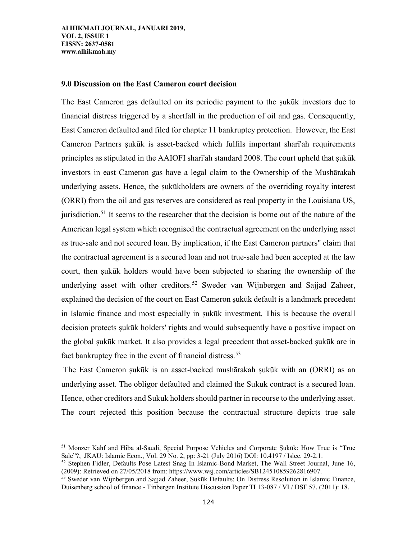l

## **9.0 Discussion on the East Cameron court decision**

The East Cameron gas defaulted on its periodic payment to the sukūk investors due to financial distress triggered by a shortfall in the production of oil and gas. Consequently, East Cameron defaulted and filed for chapter 11 bankruptcy protection. However, the East Cameron Partners ṣukūk is asset-backed which fulfils important sharī'ah requirements principles as stipulated in the AAIOFI sharī'ah standard 2008. The court upheld that ṣukūk investors in east Cameron gas have a legal claim to the Ownership of the Mushārakah underlying assets. Hence, the ṣukūkholders are owners of the overriding royalty interest (ORRI) from the oil and gas reserves are considered as real property in the Louisiana US, jurisdiction.<sup>51</sup> It seems to the researcher that the decision is borne out of the nature of the American legal system which recognised the contractual agreement on the underlying asset as true-sale and not secured loan. By implication, if the East Cameron partners" claim that the contractual agreement is a secured loan and not true-sale had been accepted at the law court, then ṣukūk holders would have been subjected to sharing the ownership of the underlying asset with other creditors.<sup>52</sup> Sweder van Wijnbergen and Sajjad Zaheer, explained the decision of the court on East Cameron ṣukūk default is a landmark precedent in Islamic finance and most especially in ṣukūk investment. This is because the overall decision protects ṣukūk holders' rights and would subsequently have a positive impact on the global ṣukūk market. It also provides a legal precedent that asset-backed ṣukūk are in fact bankruptcy free in the event of financial distress.<sup>53</sup>

The East Cameron ṣukūk is an asset-backed mushārakah ṣukūk with an (ORRI) as an underlying asset. The obligor defaulted and claimed the Sukuk contract is a secured loan. Hence, other creditors and Sukuk holders should partner in recourse to the underlying asset. The court rejected this position because the contractual structure depicts true sale

<sup>&</sup>lt;sup>51</sup> Monzer Kahf and Hiba al-Saudi, Special Purpose Vehicles and Corporate Sukūk: How True is "True Sale"?, JKAU: Islamic Econ., Vol. 29 No. 2, pp: 3-21 (July 2016) DOI: 10.4197 / Islec. 29-2.1.

<sup>52</sup> Stephen Fidler, Defaults Pose Latest Snag In Islamic-Bond Market, The Wall Street Journal, June 16, (2009): Retrieved on 27/05/2018 from: https://www.wsj.com/articles/SB124510859262816907.

<sup>53</sup> Sweder van Wijnbergen and Sajjad Zaheer, Ṣukūk Defaults: On Distress Resolution in Islamic Finance, Duisenberg school of finance - Tinbergen Institute Discussion Paper TI 13-087 / VI / DSF 57, (2011): 18.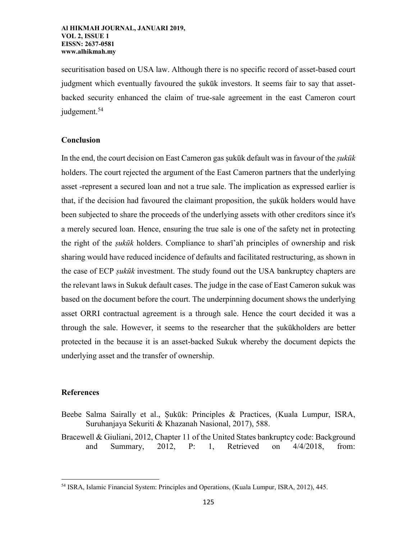securitisation based on USA law. Although there is no specific record of asset-based court judgment which eventually favoured the sukūk investors. It seems fair to say that assetbacked security enhanced the claim of true-sale agreement in the east Cameron court judgement.<sup>54</sup>

## **Conclusion**

In the end, the court decision on East Cameron gas ṣukūk default was in favour of the *ṣukūk* holders. The court rejected the argument of the East Cameron partners that the underlying asset -represent a secured loan and not a true sale. The implication as expressed earlier is that, if the decision had favoured the claimant proposition, the ṣukūk holders would have been subjected to share the proceeds of the underlying assets with other creditors since it's a merely secured loan. Hence, ensuring the true sale is one of the safety net in protecting the right of the *ṣukūk* holders. Compliance to sharī'ah principles of ownership and risk sharing would have reduced incidence of defaults and facilitated restructuring, as shown in the case of ECP *ṣukūk* investment. The study found out the USA bankruptcy chapters are the relevant laws in Sukuk default cases. The judge in the case of East Cameron sukuk was based on the document before the court. The underpinning document shows the underlying asset ORRI contractual agreement is a through sale. Hence the court decided it was a through the sale. However, it seems to the researcher that the ṣukūkholders are better protected in the because it is an asset-backed Sukuk whereby the document depicts the underlying asset and the transfer of ownership.

## **References**

- Beebe Salma Sairally et al., Ṣukūk: Principles & Practices, (Kuala Lumpur, ISRA, Suruhanjaya Sekuriti & Khazanah Nasional, 2017), 588.
- Bracewell & Giuliani, 2012, Chapter 11 of the United States bankruptcy code: Background and Summary, 2012, P: 1, Retrieved on 4/4/2018, from:

<sup>54</sup> ISRA, Islamic Financial System: Principles and Operations, (Kuala Lumpur, ISRA, 2012), 445.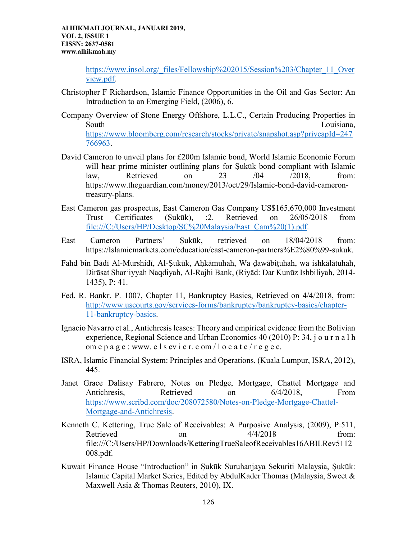> [https://www.insol.org/\\_files/Fellowship%202015/Session%203/Chapter\\_11\\_Over](https://www.insol.org/_files/Fellowship%202015/Session%203/Chapter_11_Overview.pdf) [view.pdf.](https://www.insol.org/_files/Fellowship%202015/Session%203/Chapter_11_Overview.pdf)

- Christopher F Richardson, Islamic Finance Opportunities in the Oil and Gas Sector: An Introduction to an Emerging Field, (2006), 6.
- Company Overview of Stone Energy Offshore, L.L.C., Certain Producing Properties in South Louisiana, the contract of the contract of the contract of the contract of the contract of the contract of the contract of the contract of the contract of the contract of the contract of the contract of the contract [https://www.bloomberg.com/research/stocks/private/snapshot.asp?privcapId=247](https://www.bloomberg.com/research/stocks/private/snapshot.asp?privcapId=247766963) [766963.](https://www.bloomberg.com/research/stocks/private/snapshot.asp?privcapId=247766963)
- David Cameron to unveil plans for £200m Islamic bond, World Islamic Economic Forum will hear prime minister outlining plans for Sukūk bond compliant with Islamic law, Retrieved on 23 /04 /2018, from: https://www.theguardian.com/money/2013/oct/29/Islamic-bond-david-camerontreasury-plans.
- East Cameron gas prospectus, East Cameron Gas Company US\$165,670,000 Investment Trust Certificates (Ṣukūk), :2. Retrieved on 26/05/2018 from [file:///C:/Users/HP/Desktop/SC%20Malaysia/East\\_Cam%20\(1\).pdf.](file:///C:/Users/HP/Desktop/SC%20Malaysia/East_Cam%20(1).pdf)
- East Cameron Partners' Ṣukūk, retrieved on 18/04/2018 from: [https://Islamicmarkets.com/education/east-cameron-partners%E2%80%99-sukuk.](https://islamicmarkets.com/education/east-cameron-partners%E2%80%99-sukuk)
- Fahd bin Bādī Al-Murshidī, Al-Ṣukūk, Aḥkāmuhah, Wa ḍawābiṭuhah, wa ishkālātuhah, Dirāsat Sharʻiyyah Naqdiyah, Al-Rajhi Bank, (Riyād: Dar Kunūz Ishbiliyah, 2014- 1435), P: 41.
- Fed. R. Bankr. P. 1007, Chapter 11, Bankruptcy Basics, Retrieved on 4/4/2018, from: [http://www.uscourts.gov/services-forms/bankruptcy/bankruptcy-basics/chapter-](http://www.uscourts.gov/services-forms/bankruptcy/bankruptcy-basics/chapter-11-bankruptcy-basics)[11-bankruptcy-basics.](http://www.uscourts.gov/services-forms/bankruptcy/bankruptcy-basics/chapter-11-bankruptcy-basics)
- Ignacio Navarro et al., Antichresis leases: Theory and empirical evidence from the Bolivian experience, Regional Science and Urban Economics 40 (2010) P: 34, j o u r n a l h om e p a g e : www. e  $\frac{1}{s}$  s ev i e r. c om  $\frac{1}{s}$  o c a t e  $\frac{1}{s}$  e g e c.
- ISRA, Islamic Financial System: Principles and Operations, (Kuala Lumpur, ISRA, 2012), 445.
- Janet Grace Dalisay Fabrero, Notes on Pledge, Mortgage, Chattel Mortgage and Antichresis, Retrieved on 6/4/2018, From [https://www.scribd.com/doc/208072580/Notes-on-Pledge-Mortgage-Chattel-](https://www.scribd.com/doc/208072580/Notes-on-Pledge-Mortgage-Chattel-Mortgage-and-Antichresis)[Mortgage-and-Antichresis.](https://www.scribd.com/doc/208072580/Notes-on-Pledge-Mortgage-Chattel-Mortgage-and-Antichresis)
- Kenneth C. Kettering, True Sale of Receivables: A Purposive Analysis, (2009), P:511, Retrieved on on  $\frac{4}{4/2018}$  from: file:///C:/Users/HP/Downloads/KetteringTrueSaleofReceivables16ABILRev5112 008.pdf.
- Kuwait Finance House "Introduction" in Ṣukūk Suruhanjaya Sekuriti Malaysia, Ṣukūk: Islamic Capital Market Series, Edited by AbdulKader Thomas (Malaysia, Sweet & Maxwell Asia & Thomas Reuters, 2010), IX.